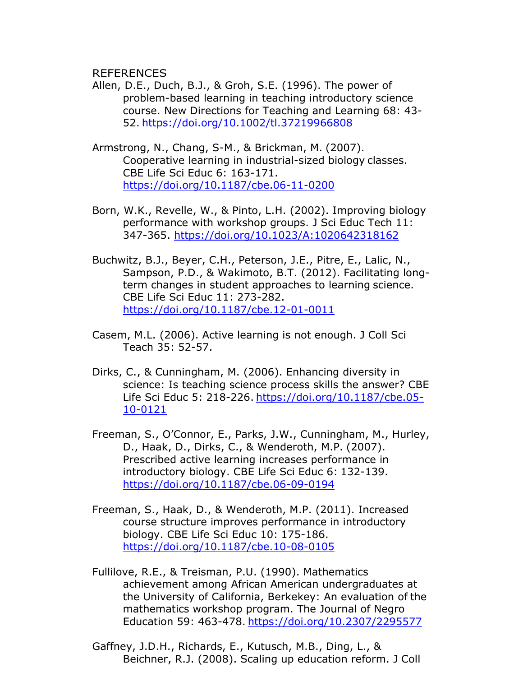REFERENCES

- Allen, D.E., Duch, B.J., & Groh, S.E. (1996). The power of problem-based learning in teaching introductory science course. New Directions for Teaching and Learning 68: 43- 52. <https://doi.org/10.1002/tl.37219966808>
- Armstrong, N., Chang, S-M., & Brickman, M. (2007). Cooperative learning in industrial-sized biology classes. CBE Life Sci Educ 6: 163-171. <https://doi.org/10.1187/cbe.06-11-0200>
- Born, W.K., Revelle, W., & Pinto, L.H. (2002). Improving biology performance with workshop groups. J Sci Educ Tech 11: 347-365. <https://doi.org/10.1023/A:1020642318162>
- Buchwitz, B.J., Beyer, C.H., Peterson, J.E., Pitre, E., Lalic, N., Sampson, P.D., & Wakimoto, B.T. (2012). Facilitating longterm changes in student approaches to learning science. CBE Life Sci Educ 11: 273-282. <https://doi.org/10.1187/cbe.12-01-0011>
- Casem, M.L. (2006). Active learning is not enough. J Coll Sci Teach 35: 52-57.
- Dirks, C., & Cunningham, M. (2006). Enhancing diversity in science: Is teaching science process skills the answer? CBE Life Sci Educ 5: 218-226. [https://doi.org/10.1187/cbe.05-](https://doi.org/10.1187/cbe.05-10-0121) [10-0121](https://doi.org/10.1187/cbe.05-10-0121)
- Freeman, S., O'Connor, E., Parks, J.W., Cunningham, M., Hurley, D., Haak, D., Dirks, C., & Wenderoth, M.P. (2007). Prescribed active learning increases performance in introductory biology. CBE Life Sci Educ 6: 132-139. <https://doi.org/10.1187/cbe.06-09-0194>
- Freeman, S., Haak, D., & Wenderoth, M.P. (2011). Increased course structure improves performance in introductory biology. CBE Life Sci Educ 10: 175-186. <https://doi.org/10.1187/cbe.10-08-0105>
- Fullilove, R.E., & Treisman, P.U. (1990). Mathematics achievement among African American undergraduates at the University of California, Berkekey: An evaluation of the mathematics workshop program. The Journal of Negro Education 59: 463-478. <https://doi.org/10.2307/2295577>
- Gaffney, J.D.H., Richards, E., Kutusch, M.B., Ding, L., & Beichner, R.J. (2008). Scaling up education reform. J Coll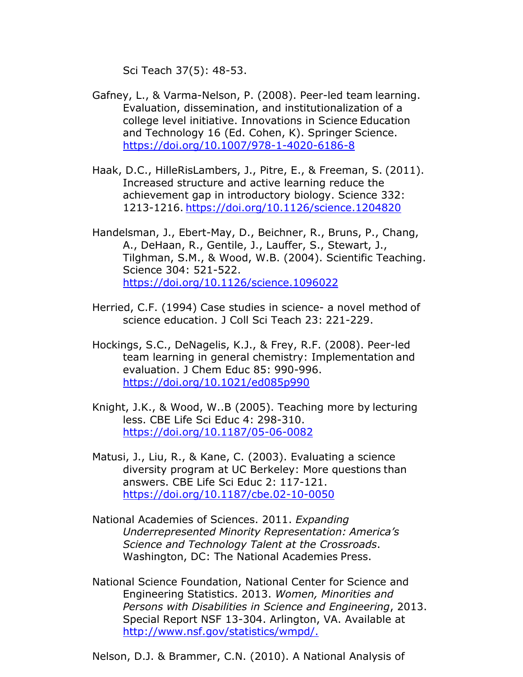Sci Teach 37(5): 48-53.

- Gafney, L., & Varma-Nelson, P. (2008). Peer-led team learning. Evaluation, dissemination, and institutionalization of a college level initiative. Innovations in Science Education and Technology 16 (Ed. Cohen, K). Springer Science. <https://doi.org/10.1007/978-1-4020-6186-8>
- Haak, D.C., HilleRisLambers, J., Pitre, E., & Freeman, S. (2011). Increased structure and active learning reduce the achievement gap in introductory biology. Science 332: 1213-1216. <https://doi.org/10.1126/science.1204820>
- Handelsman, J., Ebert-May, D., Beichner, R., Bruns, P., Chang, A., DeHaan, R., Gentile, J., Lauffer, S., Stewart, J., Tilghman, S.M., & Wood, W.B. (2004). Scientific Teaching. Science 304: 521-522. <https://doi.org/10.1126/science.1096022>
- Herried, C.F. (1994) Case studies in science- a novel method of science education. J Coll Sci Teach 23: 221-229.
- Hockings, S.C., DeNagelis, K.J., & Frey, R.F. (2008). Peer-led team learning in general chemistry: Implementation and evaluation. J Chem Educ 85: 990-996. <https://doi.org/10.1021/ed085p990>
- Knight, J.K., & Wood, W..B (2005). Teaching more by lecturing less. CBE Life Sci Educ 4: 298-310. <https://doi.org/10.1187/05-06-0082>
- Matusi, J., Liu, R., & Kane, C. (2003). Evaluating a science diversity program at UC Berkeley: More questions than answers. CBE Life Sci Educ 2: 117-121. <https://doi.org/10.1187/cbe.02-10-0050>
- National Academies of Sciences. 2011. *Expanding Underrepresented Minority Representation: America's Science and Technology Talent at the Crossroads*. Washington, DC: The National Academies Press.
- National Science Foundation, National Center for Science and Engineering Statistics. 2013. *Women, Minorities and Persons with Disabilities in Science and Engineering*, 2013. Special Report NSF 13-304. Arlington, VA. Available at [http://www.nsf.gov/statistics/wmpd/.](http://www.nsf.gov/statistics/wmpd/)

Nelson, D.J. & Brammer, C.N. (2010). A National Analysis of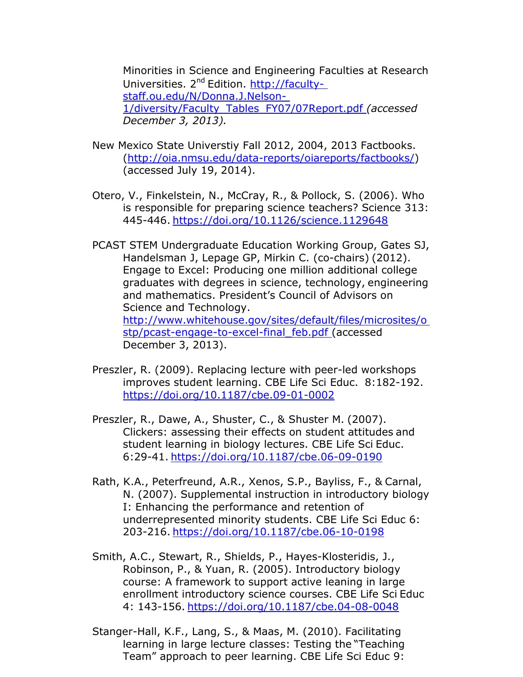Minorities in Science and Engineering Faculties at Research Universities. 2<sup>nd</sup> Edition. [http://faculty](http://faculty-/)staff.ou.edu/N/Donna.J.Nelson-1/diversity/Faculty\_Tables\_FY07/07Report.pdf *(accessed December 3, 2013).*

- New Mexico State Universtiy Fall 2012, 2004, 2013 Factbooks. [\(http://oia.nmsu.edu/data-reports/oiareports/factbooks/\)](http://oia.nmsu.edu/data-reports/oiareports/factbooks/)) (accessed July 19, 2014).
- Otero, V., Finkelstein, N., McCray, R., & Pollock, S. (2006). Who is responsible for preparing science teachers? Science 313: 445-446. <https://doi.org/10.1126/science.1129648>
- PCAST STEM Undergraduate Education Working Group, Gates SJ, Handelsman J, Lepage GP, Mirkin C. (co-chairs) (2012). Engage to Excel: Producing one million additional college graduates with degrees in science, technology, engineering and mathematics. President's Council of Advisors on Science and Technology. <http://www.whitehouse.gov/sites/default/files/microsites/o> stp/pcast-engage-to-excel-final\_feb.pdf (accessed December 3, 2013).
- Preszler, R. (2009). Replacing lecture with peer-led workshops improves student learning. CBE Life Sci Educ. 8:182-192. <https://doi.org/10.1187/cbe.09-01-0002>
- Preszler, R., Dawe, A., Shuster, C., & Shuster M. (2007). Clickers: assessing their effects on student attitudes and student learning in biology lectures. CBE Life Sci Educ. 6:29-41. <https://doi.org/10.1187/cbe.06-09-0190>
- Rath, K.A., Peterfreund, A.R., Xenos, S.P., Bayliss, F., & Carnal, N. (2007). Supplemental instruction in introductory biology I: Enhancing the performance and retention of underrepresented minority students. CBE Life Sci Educ 6: 203-216. <https://doi.org/10.1187/cbe.06-10-0198>
- Smith, A.C., Stewart, R., Shields, P., Hayes-Klosteridis, J., Robinson, P., & Yuan, R. (2005). Introductory biology course: A framework to support active leaning in large enrollment introductory science courses. CBE Life Sci Educ 4: 143-156. <https://doi.org/10.1187/cbe.04-08-0048>
- Stanger-Hall, K.F., Lang, S., & Maas, M. (2010). Facilitating learning in large lecture classes: Testing the "Teaching Team" approach to peer learning. CBE Life Sci Educ 9: